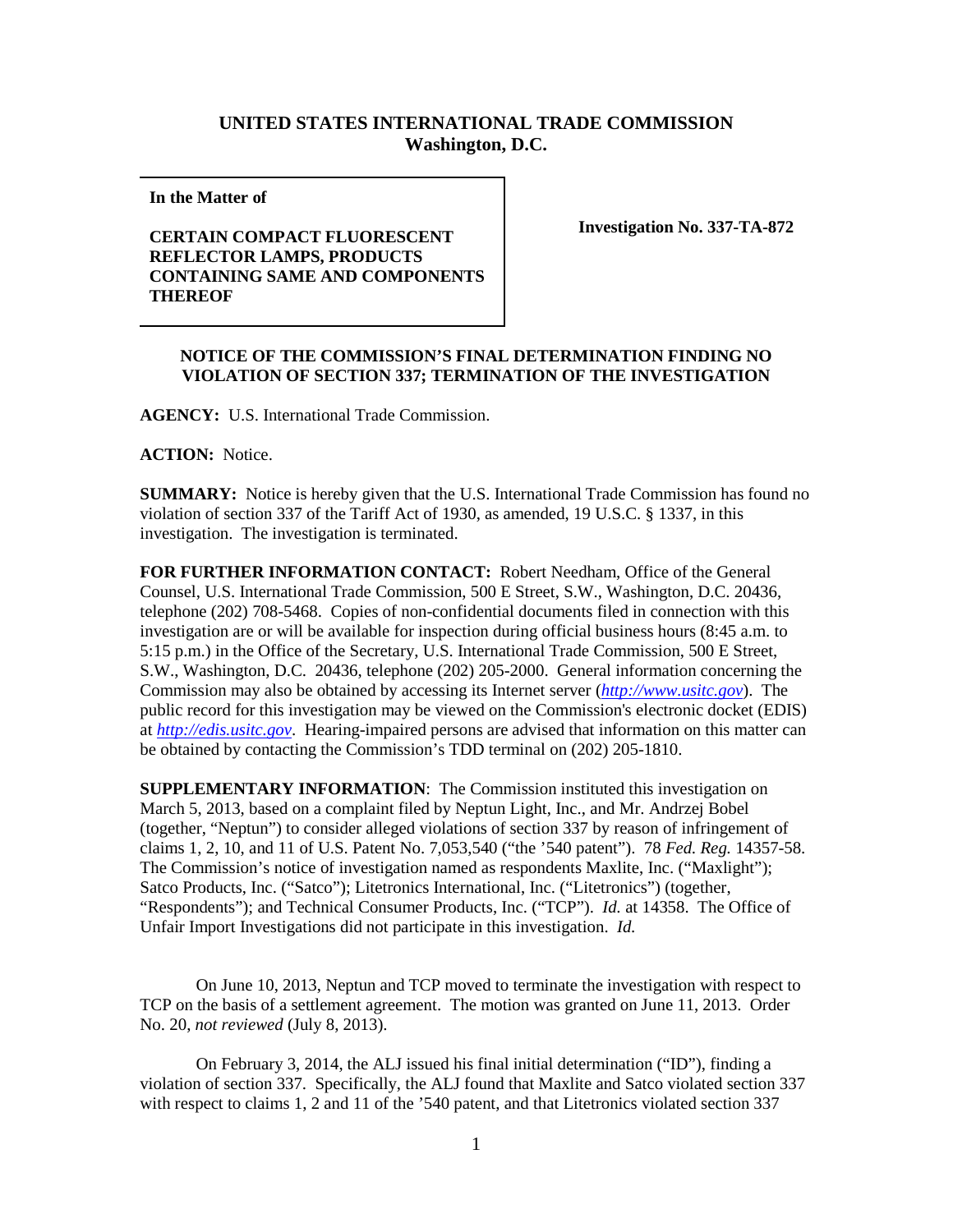## **UNITED STATES INTERNATIONAL TRADE COMMISSION Washington, D.C.**

**In the Matter of** 

## **CERTAIN COMPACT FLUORESCENT REFLECTOR LAMPS, PRODUCTS CONTAINING SAME AND COMPONENTS THEREOF**

**Investigation No. 337-TA-872**

## **NOTICE OF THE COMMISSION'S FINAL DETERMINATION FINDING NO VIOLATION OF SECTION 337; TERMINATION OF THE INVESTIGATION**

**AGENCY:** U.S. International Trade Commission.

**ACTION:** Notice.

**SUMMARY:** Notice is hereby given that the U.S. International Trade Commission has found no violation of section 337 of the Tariff Act of 1930, as amended, 19 U.S.C. § 1337, in this investigation. The investigation is terminated.

**FOR FURTHER INFORMATION CONTACT:** Robert Needham, Office of the General Counsel, U.S. International Trade Commission, 500 E Street, S.W., Washington, D.C. 20436, telephone (202) 708-5468. Copies of non-confidential documents filed in connection with this investigation are or will be available for inspection during official business hours (8:45 a.m. to 5:15 p.m.) in the Office of the Secretary, U.S. International Trade Commission, 500 E Street, S.W., Washington, D.C. 20436, telephone (202) 205-2000. General information concerning the Commission may also be obtained by accessing its Internet server (*[http://www.usitc.gov](http://www.usitc.gov/)*). The public record for this investigation may be viewed on the Commission's electronic docket (EDIS) at *[http://edis.usitc.gov](http://edis.usitc.gov/)*. Hearing-impaired persons are advised that information on this matter can be obtained by contacting the Commission's TDD terminal on (202) 205-1810.

**SUPPLEMENTARY INFORMATION**: The Commission instituted this investigation on March 5, 2013, based on a complaint filed by Neptun Light, Inc., and Mr. Andrzej Bobel (together, "Neptun") to consider alleged violations of section 337 by reason of infringement of claims 1, 2, 10, and 11 of U.S. Patent No. 7,053,540 ("the '540 patent"). 78 *Fed. Reg.* 14357-58. The Commission's notice of investigation named as respondents Maxlite, Inc. ("Maxlight"); Satco Products, Inc. ("Satco"); Litetronics International, Inc. ("Litetronics") (together, "Respondents"); and Technical Consumer Products, Inc. ("TCP"). *Id.* at 14358. The Office of Unfair Import Investigations did not participate in this investigation. *Id.*

On June 10, 2013, Neptun and TCP moved to terminate the investigation with respect to TCP on the basis of a settlement agreement. The motion was granted on June 11, 2013. Order No. 20, *not reviewed* (July 8, 2013).

On February 3, 2014, the ALJ issued his final initial determination ("ID"), finding a violation of section 337. Specifically, the ALJ found that Maxlite and Satco violated section 337 with respect to claims 1, 2 and 11 of the '540 patent, and that Litetronics violated section 337